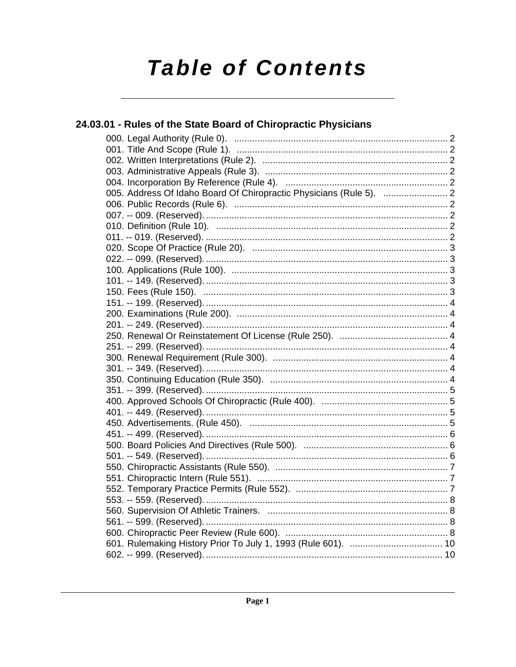# **Table of Contents**

| 24.03.01 - Rules of the State Board of Chiropractic Physicians |  |
|----------------------------------------------------------------|--|
|                                                                |  |
|                                                                |  |
|                                                                |  |
|                                                                |  |
|                                                                |  |
|                                                                |  |
|                                                                |  |
|                                                                |  |
|                                                                |  |
|                                                                |  |
|                                                                |  |
|                                                                |  |
|                                                                |  |
|                                                                |  |
|                                                                |  |
|                                                                |  |
|                                                                |  |
|                                                                |  |
|                                                                |  |
|                                                                |  |
|                                                                |  |
|                                                                |  |
|                                                                |  |
|                                                                |  |
|                                                                |  |
|                                                                |  |
|                                                                |  |
|                                                                |  |
|                                                                |  |
|                                                                |  |
|                                                                |  |
|                                                                |  |
|                                                                |  |
|                                                                |  |
|                                                                |  |
|                                                                |  |
|                                                                |  |
|                                                                |  |
|                                                                |  |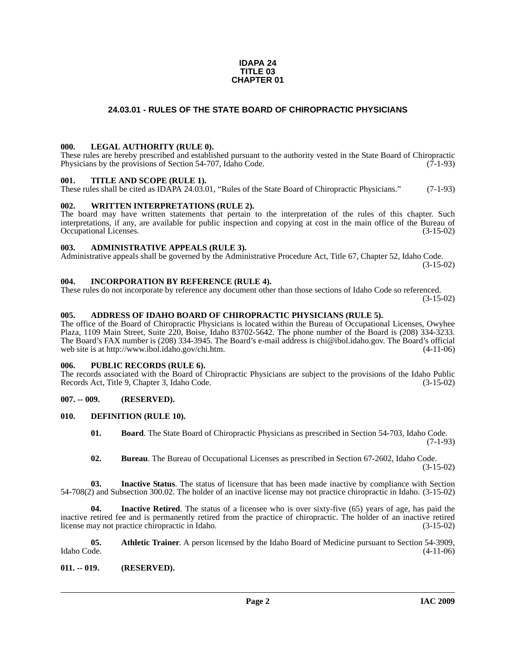### **IDAPA 24 TITLE 03 CHAPTER 01**

### **24.03.01 - RULES OF THE STATE BOARD OF CHIROPRACTIC PHYSICIANS**

### <span id="page-1-1"></span><span id="page-1-0"></span>**000. LEGAL AUTHORITY (RULE 0).**

These rules are hereby prescribed and established pursuant to the authority vested in the State Board of Chiropractic Physicians by the provisions of Section 54-707, Idaho Code. (7-1-93)

### <span id="page-1-2"></span>**001. TITLE AND SCOPE (RULE 1).**

These rules shall be cited as IDAPA 24.03.01, "Rules of the State Board of Chiropractic Physicians." (7-1-93)

### <span id="page-1-3"></span>**002. WRITTEN INTERPRETATIONS (RULE 2).**

The board may have written statements that pertain to the interpretation of the rules of this chapter. Such interpretations, if any, are available for public inspection and copying at cost in the main office of the Bureau of Occupational Licenses. (3-15-02) Occupational Licenses.

### <span id="page-1-4"></span>**003. ADMINISTRATIVE APPEALS (RULE 3).**

Administrative appeals shall be governed by the Administrative Procedure Act, Title 67, Chapter 52, Idaho Code.

(3-15-02)

### <span id="page-1-5"></span>**004. INCORPORATION BY REFERENCE (RULE 4).**

These rules do not incorporate by reference any document other than those sections of Idaho Code so referenced. (3-15-02)

### <span id="page-1-6"></span>**005. ADDRESS OF IDAHO BOARD OF CHIROPRACTIC PHYSICIANS (RULE 5).**

[The office of the Board of Chiropractic Physicians is located within the Bureau of Occupational Licenses, Owyhee](mailto:chi@ibol.idaho.gov)  Plaza, 1109 Main Street, Suite 220, Boise, Idaho 83702-5642. The phone number of the Board is (208) 334-3233. The Board's FAX number is (208) 334-3945. The Board's e-mail address is chi@ibol.idaho.gov. The Board's official [web site is at](mailto:chi@ibol.idaho.gov) [http://www.ibol.idaho.gov/chi.htm. \(4-11-06\)](http://www.ibol.idaho.gov/chi.htm)

### <span id="page-1-7"></span>**006. PUBLIC RECORDS (RULE 6).**

The records associated with the Board of Chiropractic Physicians are subject to the provisions of the Idaho Public Records Act, Title 9, Chapter 3, Idaho Code. (3-15-02)

### <span id="page-1-8"></span>**007. -- 009. (RESERVED).**

### <span id="page-1-9"></span>**010. DEFINITION (RULE 10).**

<span id="page-1-12"></span>**01. Board**. The State Board of Chiropractic Physicians as prescribed in Section 54-703, Idaho Code. (7-1-93)

**02. Bureau**. The Bureau of Occupational Licenses as prescribed in Section 67-2602, Idaho Code. (3-15-02)

**03. Inactive Status**. The status of licensure that has been made inactive by compliance with Section 54-708(2) and Subsection 300.02. The holder of an inactive license may not practice chiropractic in Idaho. (3-15-02)

**04. Inactive Retired**. The status of a licensee who is over sixty-five (65) years of age, has paid the inactive retired fee and is permanently retired from the practice of chiropractic. The holder of an inactive retired license may not practice chiropractic in Idaho. (3-15-02)

<span id="page-1-11"></span>**05.** Athletic Trainer. A person licensed by the Idaho Board of Medicine pursuant to Section 54-3909, Idaho Code. (4-11-06) Idaho Code. (4-11-06)

### <span id="page-1-10"></span>**011. -- 019. (RESERVED).**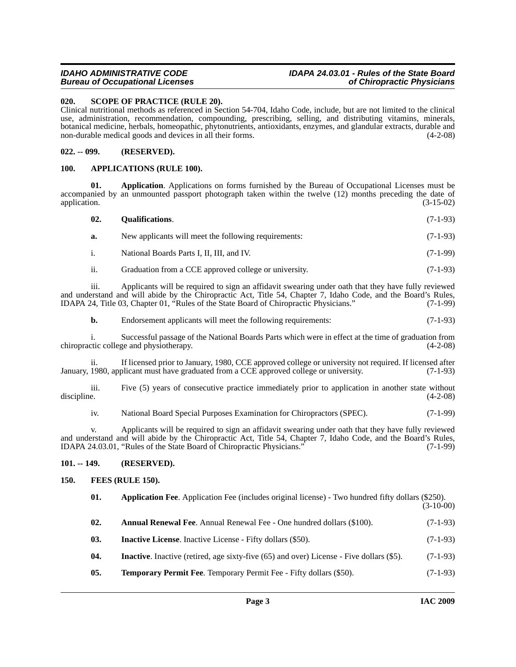### *Bureau of Occupational Licenses*

### *IDAHO ADMINISTRATIVE CODE IDAPA 24.03.01 - Rules of the State Board*

### <span id="page-2-12"></span><span id="page-2-0"></span>**020. SCOPE OF PRACTICE (RULE 20).**

Clinical nutritional methods as referenced in Section 54-704, Idaho Code, include, but are not limited to the clinical use, administration, recommendation, compounding, prescribing, selling, and distributing vitamins, minerals, botanical medicine, herbals, homeopathic, phytonutrients, antioxidants, enzymes, and glandular extracts, durable and non-durable medical goods and devices in all their forms. (4-2-08)

### <span id="page-2-1"></span>**022. -- 099. (RESERVED).**

### <span id="page-2-7"></span><span id="page-2-2"></span>**100. APPLICATIONS (RULE 100).**

**01. Application**. Applications on forms furnished by the Bureau of Occupational Licenses must be accompanied by an unmounted passport photograph taken within the twelve (12) months preceding the date of application. (3-15-02) application. (3-15-02)

<span id="page-2-11"></span>

| 02. | <b>Qualifications.</b> | $(7-1-93)$ |
|-----|------------------------|------------|
|     |                        |            |

| New applicants will meet the following requirements: | $(7-1-93)$ |
|------------------------------------------------------|------------|
| National Boards Parts I, II, III, and IV.            | $(7-1-99)$ |

ii. Graduation from a CCE approved college or university. (7-1-93)

iii. Applicants will be required to sign an affidavit swearing under oath that they have fully reviewed and understand and will abide by the Chiropractic Act, Title 54, Chapter 7, Idaho Code, and the Board's Rules, IDAPA 24, Title 03, Chapter 01, "Rules of the State Board of Chiropractic Physicians." (7-1-99)

**b.** Endorsement applicants will meet the following requirements:  $(7-1-93)$ 

i. Successful passage of the National Boards Parts which were in effect at the time of graduation from chiropractic college and physiotherapy. (4-2-08)

ii. If licensed prior to January, 1980, CCE approved college or university not required. If licensed after January, 1980, applicant must have graduated from a CCE approved college or university. (7-1-93)

iii. Five (5) years of consecutive practice immediately prior to application in another state without discipline.  $(4-2-08)$ 

iv. National Board Special Purposes Examination for Chiropractors (SPEC). (7-1-99)

v. Applicants will be required to sign an affidavit swearing under oath that they have fully reviewed and understand and will abide by the Chiropractic Act, Title 54, Chapter 7, Idaho Code, and the Board's Rules, IDAPA 24.03.01, "Rules of the State Board of Chiropractic Physicians." (7-1-99)

### <span id="page-2-3"></span>**101. -- 149. (RESERVED).**

### <span id="page-2-4"></span>**150. FEES (RULE 150).**

<span id="page-2-13"></span><span id="page-2-10"></span><span id="page-2-9"></span><span id="page-2-8"></span><span id="page-2-6"></span><span id="page-2-5"></span>

| 01. | <b>Application Fee.</b> Application Fee (includes original license) - Two hundred fifty dollars (\$250). | $(3-10-00)$ |
|-----|----------------------------------------------------------------------------------------------------------|-------------|
| 02. | <b>Annual Renewal Fee.</b> Annual Renewal Fee - One hundred dollars (\$100).                             | $(7-1-93)$  |
| 03. | <b>Inactive License.</b> Inactive License - Fifty dollars (\$50).                                        | $(7-1-93)$  |
| 04. | <b>Inactive.</b> Inactive (retired, age sixty-five (65) and over) License - Five dollars (\$5).          | $(7-1-93)$  |
| 05. | <b>Temporary Permit Fee.</b> Temporary Permit Fee - Fifty dollars (\$50).                                | $(7-1-93)$  |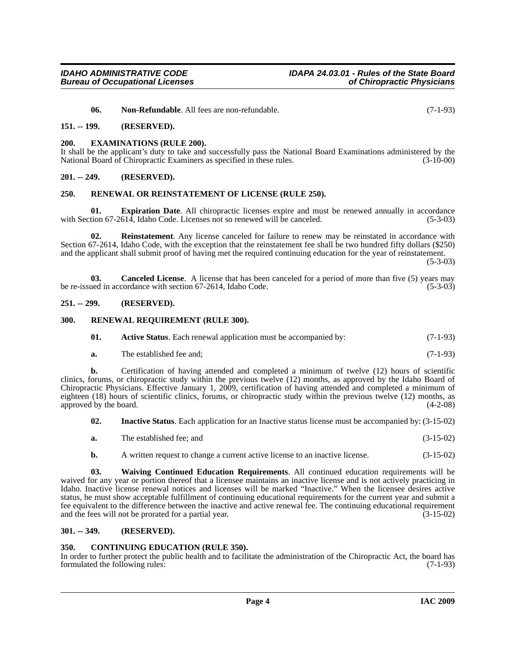<span id="page-3-13"></span>**06. Non-Refundable**. All fees are non-refundable. (7-1-93)

### <span id="page-3-0"></span>**151. -- 199. (RESERVED).**

### <span id="page-3-1"></span>**200. EXAMINATIONS (RULE 200).**

It shall be the applicant's duty to take and successfully pass the National Board Examinations administered by the National Board of Chiropractic Examiners as specified in these rules. (3-10-00) National Board of Chiropractic Examiners as specified in these rules.

### <span id="page-3-2"></span>**201. -- 249. (RESERVED).**

### <span id="page-3-15"></span><span id="page-3-3"></span>**250. RENEWAL OR REINSTATEMENT OF LICENSE (RULE 250).**

<span id="page-3-11"></span>**01. Expiration Date**. All chiropractic licenses expire and must be renewed annually in accordance with Section 67-2614, Idaho Code. Licenses not so renewed will be canceled. (5-3-03)

<span id="page-3-14"></span>**02. Reinstatement**. Any license canceled for failure to renew may be reinstated in accordance with Section 67-2614, Idaho Code, with the exception that the reinstatement fee shall be two hundred fifty dollars (\$250) and the applicant shall submit proof of having met the required continuing education for the year of reinstatement.  $(5-3-03)$ 

<span id="page-3-9"></span>**03. Canceled License**. A license that has been canceled for a period of more than five (5) years may be re-issued in accordance with section 67-2614, Idaho Code. (5-3-03)

### <span id="page-3-4"></span>**251. -- 299. (RESERVED).**

### <span id="page-3-5"></span>**300. RENEWAL REQUIREMENT (RULE 300).**

<span id="page-3-16"></span><span id="page-3-8"></span>

| -01. | <b>Active Status.</b> Each renewal application must be accompanied by: |  |  | $(7-1-93)$ |
|------|------------------------------------------------------------------------|--|--|------------|
|------|------------------------------------------------------------------------|--|--|------------|

**a.** The established fee and; (7-1-93)

**b.** Certification of having attended and completed a minimum of twelve (12) hours of scientific clinics, forums, or chiropractic study within the previous twelve (12) months, as approved by the Idaho Board of Chiropractic Physicians. Effective January 1, 2009, certification of having attended and completed a minimum of eighteen (18) hours of scientific clinics, forums, or chiropractic study within the previous twelve (12) months, as approved by the board. (4-2-08)  $(4-2-08)$ 

<span id="page-3-12"></span>**02. Inactive Status**. Each application for an Inactive status license must be accompanied by: (3-15-02)

**a.** The established fee; and (3-15-02)

<span id="page-3-17"></span>**b.** A written request to change a current active license to an inactive license.  $(3-15-02)$ 

**03. Waiving Continued Education Requirements**. All continued education requirements will be waived for any year or portion thereof that a licensee maintains an inactive license and is not actively practicing in Idaho. Inactive license renewal notices and licenses will be marked "Inactive." When the licensee desires active status, he must show acceptable fulfillment of continuing educational requirements for the current year and submit a fee equivalent to the difference between the inactive and active renewal fee. The continuing educational requirement and the fees will not be prorated for a partial year. (3-15-02) and the fees will not be prorated for a partial year.

### <span id="page-3-6"></span>**301. -- 349. (RESERVED).**

### <span id="page-3-10"></span><span id="page-3-7"></span>**350. CONTINUING EDUCATION (RULE 350).**

In order to further protect the public health and to facilitate the administration of the Chiropractic Act, the board has formulated the following rules: (7-1-93) formulated the following rules: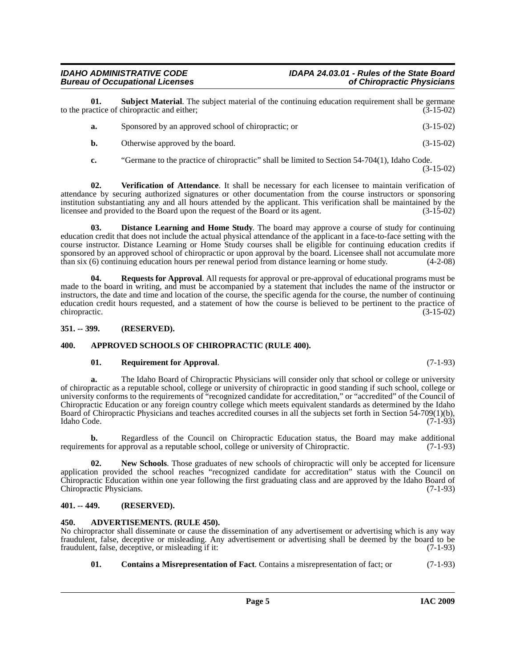### *IDAHO ADMINISTRATIVE CODE IDAPA 24.03.01 - Rules of the State Board* **Bureau of Occupational Licenses**

**01. Subject Material**. The subject material of the continuing education requirement shall be germane actice of chiropractic and either: (3-15-02) to the practice of chiropractic and either;

<span id="page-4-11"></span>

| Sponsored by an approved school of chiropractic; or | $(3-15-02)$ |
|-----------------------------------------------------|-------------|
| Otherwise approved by the board.                    | $(3-15-02)$ |

<span id="page-4-12"></span>**c.** "Germane to the practice of chiropractic" shall be limited to Section 54-704(1), Idaho Code.

**02. Verification of Attendance**. It shall be necessary for each licensee to maintain verification of attendance by securing authorized signatures or other documentation from the course instructors or sponsoring institution substantiating any and all hours attended by the applicant. This verification shall be maintained by the licensee and provided to the Board upon the request of the Board or its agent. (3-15-02)

<span id="page-4-7"></span>**03. Distance Learning and Home Study**. The board may approve a course of study for continuing education credit that does not include the actual physical attendance of the applicant in a face-to-face setting with the course instructor. Distance Learning or Home Study courses shall be eligible for continuing education credits if sponsored by an approved school of chiropractic or upon approval by the board. Licensee shall not accumulate more than six (6) continuing education hours per renewal period from distance learning or home study. (4-2-08)

<span id="page-4-9"></span>**04. Requests for Approval**. All requests for approval or pre-approval of educational programs must be made to the board in writing, and must be accompanied by a statement that includes the name of the instructor or instructors, the date and time and location of the course, the specific agenda for the course, the number of continuing education credit hours requested, and a statement of how the course is believed to be pertinent to the practice of chiropractic. (3-15-02)

### <span id="page-4-0"></span>**351. -- 399. (RESERVED).**

### <span id="page-4-1"></span>**400. APPROVED SCHOOLS OF CHIROPRACTIC (RULE 400).**

### <span id="page-4-10"></span><span id="page-4-5"></span>**01. Requirement for Approval**. (7-1-93)

**a.** The Idaho Board of Chiropractic Physicians will consider only that school or college or university of chiropractic as a reputable school, college or university of chiropractic in good standing if such school, college or university conforms to the requirements of "recognized candidate for accreditation," or "accredited" of the Council of Chiropractic Education or any foreign country college which meets equivalent standards as determined by the Idaho Board of Chiropractic Physicians and teaches accredited courses in all the subjects set forth in Section 54-709(1)(b), Idaho Code. (7-1-93)

**b.** Regardless of the Council on Chiropractic Education status, the Board may make additional requirements for approval as a reputable school, college or university of Chiropractic. (7-1-93)

<span id="page-4-8"></span>**02. New Schools**. Those graduates of new schools of chiropractic will only be accepted for licensure application provided the school reaches "recognized candidate for accreditation" status with the Council on Chiropractic Education within one year following the first graduating class and are approved by the Idaho Board of Chiropractic Physicians. (7-1-93)

### <span id="page-4-2"></span>**401. -- 449. (RESERVED).**

### <span id="page-4-4"></span><span id="page-4-3"></span>**450. ADVERTISEMENTS. (RULE 450).**

No chiropractor shall disseminate or cause the dissemination of any advertisement or advertising which is any way fraudulent, false, deceptive or misleading. Any advertisement or advertising shall be deemed by the board to be fraudulent, false, deceptive, or misleading if it: (7-1-93)

<span id="page-4-6"></span>**01. Contains a Misrepresentation of Fact**. Contains a misrepresentation of fact; or (7-1-93)

(3-15-02)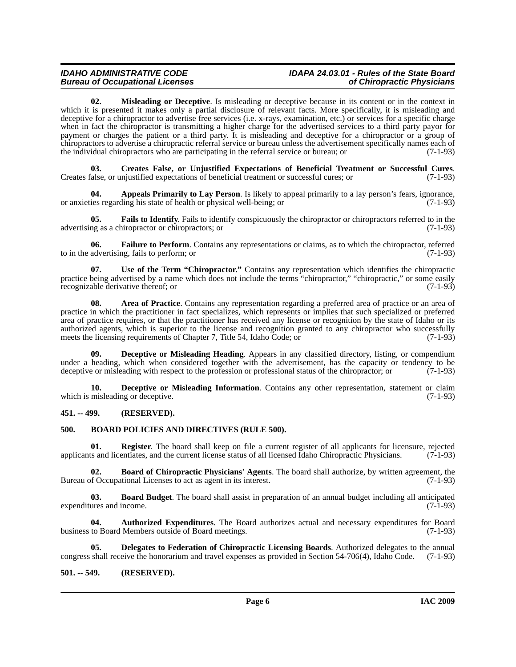### *Bureau of Occupational Licenses*

## *IDAHO ADMINISTRATIVE CODE IDAPA 24.03.01 - Rules of the State Board*

<span id="page-5-15"></span>**02. Misleading or Deceptive**. Is misleading or deceptive because in its content or in the context in which it is presented it makes only a partial disclosure of relevant facts. More specifically, it is misleading and deceptive for a chiropractor to advertise free services (i.e. x-rays, examination, etc.) or services for a specific charge when in fact the chiropractor is transmitting a higher charge for the advertised services to a third party payor for payment or charges the patient or a third party. It is misleading and deceptive for a chiropractor or a group of chiropractors to advertise a chiropractic referral service or bureau unless the advertisement specifically names each of the individual chiropractors who are participating in the referral service or bureau: or (7-1-93) the individual chiropractors who are participating in the referral service or bureau; or

<span id="page-5-9"></span>**03. Creates False, or Unjustified Expectations of Beneficial Treatment or Successful Cures**. Creates false, or unjustified expectations of beneficial treatment or successful cures; or (7-1-93)

<span id="page-5-3"></span>**04. Appeals Primarily to Lay Person**. Is likely to appeal primarily to a lay person's fears, ignorance, ies regarding his state of health or physical well-being: or or anxieties regarding his state of health or physical well-being; or

<span id="page-5-13"></span>**05. Fails to Identify**. Fails to identify conspicuously the chiropractor or chiropractors referred to in the ng as a chiropractor or chiropractors; or  $(7-1-93)$ advertising as a chiropractor or chiropractors; or

<span id="page-5-14"></span>**06. Failure to Perform**. Contains any representations or claims, as to which the chiropractor, referred to in the advertising, fails to perform; or  $(7-1-93)$ 

<span id="page-5-17"></span>**07. Use of the Term "Chiropractor."** Contains any representation which identifies the chiropractic practice being advertised by a name which does not include the terms "chiropractor," "chiropractic," or some easily recognizable derivative thereof; or recognizable derivative thereof; or

<span id="page-5-4"></span>**08. Area of Practice**. Contains any representation regarding a preferred area of practice or an area of practice in which the practitioner in fact specializes, which represents or implies that such specialized or preferred area of practice requires, or that the practitioner has received any license or recognition by the state of Idaho or its authorized agents, which is superior to the license and recognition granted to any chiropractor who successfully meets the licensing requirements of Chapter 7, Title 54, Idaho Code; or (7-1-93)

<span id="page-5-10"></span>**Deceptive or Misleading Heading**. Appears in any classified directory, listing, or compendium under a heading, which when considered together with the advertisement, has the capacity or tendency to be deceptive or misleading with respect to the profession or professional status of the chiropractor; or (7-1-93)

<span id="page-5-11"></span>**10. Deceptive or Misleading Information**. Contains any other representation, statement or claim which is misleading or deceptive. (7-1-93)

### <span id="page-5-0"></span>**451. -- 499. (RESERVED).**

### <span id="page-5-8"></span><span id="page-5-1"></span>**500. BOARD POLICIES AND DIRECTIVES (RULE 500).**

<span id="page-5-16"></span>**01. Register**. The board shall keep on file a current register of all applicants for licensure, rejected applicants and licentiates, and the current license status of all licensed Idaho Chiropractic Physicians. (7-1-93)

<span id="page-5-7"></span>**02. Board of Chiropractic Physicians' Agents**. The board shall authorize, by written agreement, the of Occupational Licenses to act as agent in its interest. (7-1-93) Bureau of Occupational Licenses to act as agent in its interest.

<span id="page-5-6"></span>**03. Board Budget**. The board shall assist in preparation of an annual budget including all anticipated expenditures and income. (7-1-93)

<span id="page-5-5"></span>**04. Authorized Expenditures**. The Board authorizes actual and necessary expenditures for Board business to Board Members outside of Board meetings. (7-1-93)

<span id="page-5-12"></span>**05. Delegates to Federation of Chiropractic Licensing Boards**. Authorized delegates to the annual congress shall receive the honorarium and travel expenses as provided in Section 54-706(4), Idaho Code. (7-1-93)

### <span id="page-5-2"></span>**501. -- 549. (RESERVED).**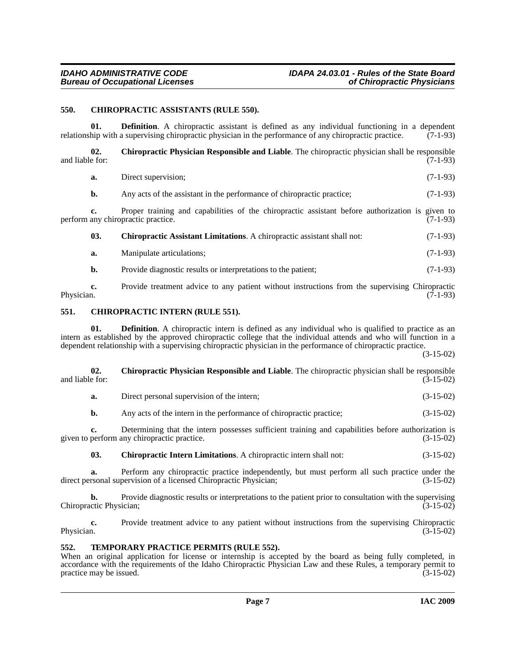### <span id="page-6-4"></span><span id="page-6-0"></span>**550. CHIROPRACTIC ASSISTANTS (RULE 550).**

**01. Definition**. A chiropractic assistant is defined as any individual functioning in a dependent hip with a supervising chiropractic physician in the performance of any chiropractic practice. (7-1-93) relationship with a supervising chiropractic physician in the performance of any chiropractic practice.

<span id="page-6-7"></span>**02.** Chiropractic Physician Responsible and Liable. The chiropractic physician shall be responsible and liable for: (7-1-93) and liable for:  $(7-1-93)$ 

<span id="page-6-3"></span>

|  | a.  | Direct supervision;                                                                                                                   | $(7-1-93)$ |
|--|-----|---------------------------------------------------------------------------------------------------------------------------------------|------------|
|  | b.  | Any acts of the assistant in the performance of chiropractic practice;                                                                | $(7-1-93)$ |
|  |     | Proper training and capabilities of the chiropractic assistant before authorization is given to<br>perform any chiropractic practice. | $(7-1-93)$ |
|  | 03. | Chiropractic Assistant Limitations. A chiropractic assistant shall not:                                                               | $(7-1-93)$ |
|  | a.  | Manipulate articulations;                                                                                                             | $(7-1-93)$ |
|  | b.  | Provide diagnostic results or interpretations to the patient;                                                                         | $(7-1-93)$ |
|  |     | Davida taiptainat palitin to pair aptimt inthone taptamentous farm. the proposalitar Oktobronity                                      |            |

**c.** Provide treatment advice to any patient without instructions from the supervising Chiropractic Physician.  $(7-1-93)$ 

### <span id="page-6-5"></span><span id="page-6-1"></span>**551. CHIROPRACTIC INTERN (RULE 551).**

**01. Definition**. A chiropractic intern is defined as any individual who is qualified to practice as an intern as established by the approved chiropractic college that the individual attends and who will function in a dependent relationship with a supervising chiropractic physician in the performance of chiropractic practice.

(3-15-02)

<span id="page-6-8"></span>

| 02.<br>and liable for: | <b>Chiropractic Physician Responsible and Liable.</b> The chiropractic physician shall be responsible                                             | $(3-15-02)$ |
|------------------------|---------------------------------------------------------------------------------------------------------------------------------------------------|-------------|
| a.                     | Direct personal supervision of the intern;                                                                                                        | $(3-15-02)$ |
| b.                     | Any acts of the intern in the performance of chiropractic practice;                                                                               | $(3-15-02)$ |
|                        | Determining that the intern possesses sufficient training and capabilities before authorization is<br>given to perform any chiropractic practice. | $(3-15-02)$ |
| 03.                    | <b>Chiropractic Intern Limitations.</b> A chiropractic intern shall not:                                                                          | $(3-15-02)$ |

<span id="page-6-6"></span>**a.** Perform any chiropractic practice independently, but must perform all such practice under the rsonal supervision of a licensed Chiropractic Physician; (3-15-02) direct personal supervision of a licensed Chiropractic Physician;

**b.** Provide diagnostic results or interpretations to the patient prior to consultation with the supervising ctic Physician; (3-15-02) Chiropractic Physician;

**c.** Provide treatment advice to any patient without instructions from the supervising Chiropractic Physician. (3-15-02) Physician.  $(3-15-02)$ 

### <span id="page-6-9"></span><span id="page-6-2"></span>**552. TEMPORARY PRACTICE PERMITS (RULE 552).**

When an original application for license or internship is accepted by the board as being fully completed, in accordance with the requirements of the Idaho Chiropractic Physician Law and these Rules, a temporary permit to practice may be issued. (3-15-02)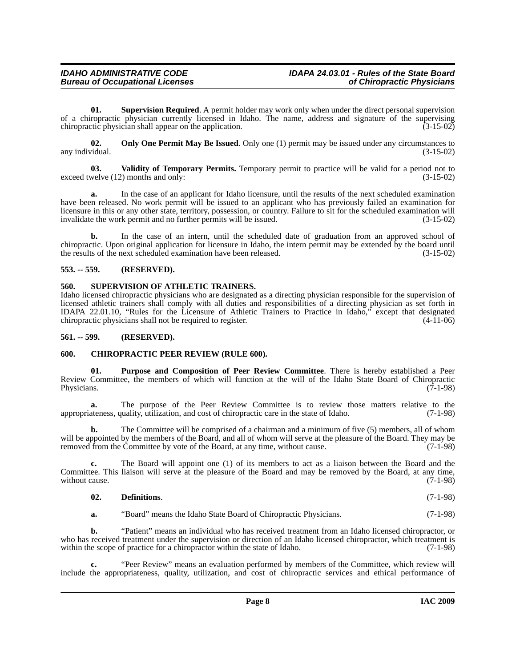**01. Supervision Required**. A permit holder may work only when under the direct personal supervision of a chiropractic physician currently licensed in Idaho. The name, address and signature of the supervising chiropractic physician shall appear on the application. (3-15-02) chiropractic physician shall appear on the application.

<span id="page-7-5"></span>**02. Only One Permit May Be Issued**. Only one (1) permit may be issued under any circumstances to *i*dual. (3-15-02) any individual.

<span id="page-7-8"></span>**03. Validity of Temporary Permits.** Temporary permit to practice will be valid for a period not to exceed twelve (12) months and only: (3-15-02)

**a.** In the case of an applicant for Idaho licensure, until the results of the next scheduled examination have been released. No work permit will be issued to an applicant who has previously failed an examination for licensure in this or any other state, territory, possession, or country. Failure to sit for the scheduled examination will invalidate the work permit and no further permits will be issued. (3-15-02)

**b.** In the case of an intern, until the scheduled date of graduation from an approved school of chiropractic. Upon original application for licensure in Idaho, the intern permit may be extended by the board until the results of the next scheduled examination have been released. (3-15-02)

### <span id="page-7-0"></span>**553. -- 559. (RESERVED).**

### <span id="page-7-7"></span><span id="page-7-1"></span>**560. SUPERVISION OF ATHLETIC TRAINERS.**

Idaho licensed chiropractic physicians who are designated as a directing physician responsible for the supervision of licensed athletic trainers shall comply with all duties and responsibilities of a directing physician as set forth in IDAPA 22.01.10, "Rules for the Licensure of Athletic Trainers to Practice in Idaho," except that designated chiropractic physicians shall not be required to register. (4-11-06)

### <span id="page-7-2"></span>**561. -- 599. (RESERVED).**

### <span id="page-7-4"></span><span id="page-7-3"></span>**600. CHIROPRACTIC PEER REVIEW (RULE 600).**

<span id="page-7-6"></span>**01. Purpose and Composition of Peer Review Committee**. There is hereby established a Peer Review Committee, the members of which will function at the will of the Idaho State Board of Chiropractic Physicians. (7-1-98) Physicians.  $(7-1-98)$ 

**a.** The purpose of the Peer Review Committee is to review those matters relative to the appropriateness, quality, utilization, and cost of chiropractic care in the state of Idaho. (7-1-98)

**b.** The Committee will be comprised of a chairman and a minimum of five (5) members, all of whom will be appointed by the members of the Board, and all of whom will serve at the pleasure of the Board. They may be removed from the Committee by vote of the Board, at any time, without cause. (7-1-98)

**c.** The Board will appoint one (1) of its members to act as a liaison between the Board and the Committee. This liaison will serve at the pleasure of the Board and may be removed by the Board, at any time, without cause. (7-1-98) without cause.

### **02. Definitions**. (7-1-98)

**a.** "Board" means the Idaho State Board of Chiropractic Physicians. (7-1-98)

**b.** "Patient" means an individual who has received treatment from an Idaho licensed chiropractor, or who has received treatment under the supervision or direction of an Idaho licensed chiropractor, which treatment is within the scope of practice for a chiropractor within the state of Idaho. (7-1-98)

**c.** "Peer Review" means an evaluation performed by members of the Committee, which review will include the appropriateness, quality, utilization, and cost of chiropractic services and ethical performance of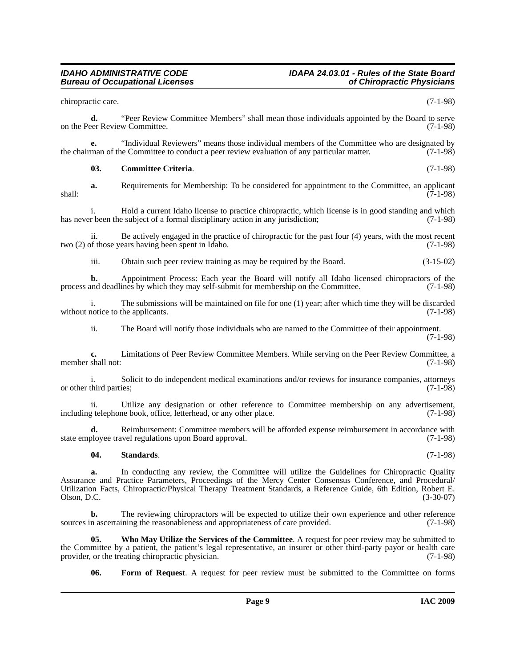chiropractic care. (7-1-98)

**d.** "Peer Review Committee Members" shall mean those individuals appointed by the Board to serve on the Peer Review Committee. (7-1-98)

**e.** "Individual Reviewers" means those individual members of the Committee who are designated by man of the Committee to conduct a peer review evaluation of any particular matter. (7-1-98) the chairman of the Committee to conduct a peer review evaluation of any particular matter.

### <span id="page-8-0"></span>**03. Committee Criteria**. (7-1-98)

**a.** Requirements for Membership: To be considered for appointment to the Committee, an applicant  $\overline{(7-1-98)}$  shall:

i. Hold a current Idaho license to practice chiropractic, which license is in good standing and which has never been the subject of a formal disciplinary action in any jurisdiction; (7-1-98)

ii. Be actively engaged in the practice of chiropractic for the past four (4) years, with the most recent two (2) of those years having been spent in Idaho. (7-1-98)

iii. Obtain such peer review training as may be required by the Board. (3-15-02)

**b.** Appointment Process: Each year the Board will notify all Idaho licensed chiropractors of the nod deadlines by which they may self-submit for membership on the Committee. (7-1-98) process and deadlines by which they may self-submit for membership on the Committee.

i. The submissions will be maintained on file for one (1) year; after which time they will be discarded notice to the applicants.  $(7-1-98)$ without notice to the applicants.

ii. The Board will notify those individuals who are named to the Committee of their appointment. (7-1-98)

**c.** Limitations of Peer Review Committee Members. While serving on the Peer Review Committee, a shall not: (7-1-98) member shall not:

i. Solicit to do independent medical examinations and/or reviews for insurance companies, attorneys or other third parties;

ii. Utilize any designation or other reference to Committee membership on any advertisement, including telephone book, office, letterhead, or any other place. (7-1-98)

**d.** Reimbursement: Committee members will be afforded expense reimbursement in accordance with state employee travel regulations upon Board approval. (7-1-98)

### <span id="page-8-2"></span>**04. Standards**. (7-1-98)

a. In conducting any review, the Committee will utilize the Guidelines for Chiropractic Quality Assurance and Practice Parameters, Proceedings of the Mercy Center Consensus Conference, and Procedural/ Utilization Facts, Chiropractic/Physical Therapy Treatment Standards, a Reference Guide, 6th Edition, Robert E. Olson, D.C. (3-30-07)

**b.** The reviewing chiropractors will be expected to utilize their own experience and other reference sources in ascertaining the reasonableness and appropriateness of care provided. (7-1-98)

**05. Who May Utilize the Services of the Committee**. A request for peer review may be submitted to the Committee by a patient, the patient's legal representative, an insurer or other third-party payor or health care<br>provider, or the treating chiropractic physician. (7-1-98) provider, or the treating chiropractic physician.

<span id="page-8-3"></span><span id="page-8-1"></span>**06. Form of Request**. A request for peer review must be submitted to the Committee on forms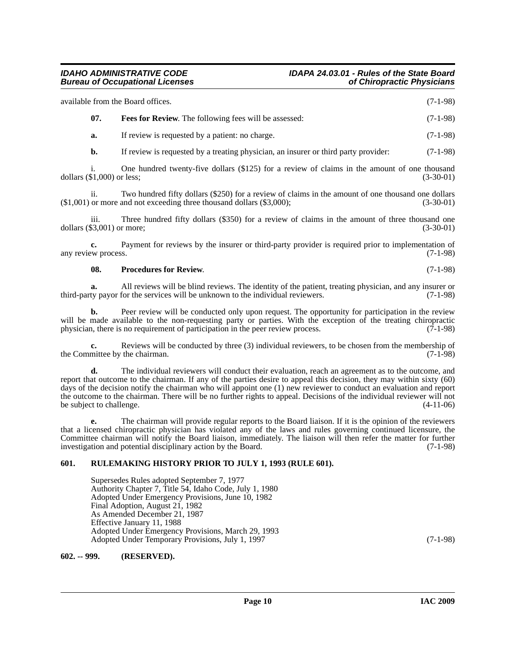| available from the Board offices. |                                                              | $(7-1-98)$ |
|-----------------------------------|--------------------------------------------------------------|------------|
|                                   | <b>Fees for Review.</b> The following fees will be assessed: | $(7-1-98)$ |
|                                   |                                                              |            |

<span id="page-9-2"></span>**a.** If review is requested by a patient: no charge. (7-1-98)

**b.** If review is requested by a treating physician, an insurer or third party provider: (7-1-98)

i. One hundred twenty-five dollars (\$125) for a review of claims in the amount of one thousand dollars (\$1,000) or less; (3-30-01)

ii. Two hundred fifty dollars (\$250) for a review of claims in the amount of one thousand one dollars or more and not exceeding three thousand dollars (\$3,000); (3-30-01)  $($1,001)$  or more and not exceeding three thousand dollars  $($3,000)$ ;

iii. Three hundred fifty dollars (\$350) for a review of claims in the amount of three thousand one dollars (\$3,001) or more; (3-30-01)

**c.** Payment for reviews by the insurer or third-party provider is required prior to implementation of any review process. (7-1-98)

### <span id="page-9-3"></span>**08. Procedures for Review**. (7-1-98)

**a.** All reviews will be blind reviews. The identity of the patient, treating physician, and any insurer or third-party payor for the services will be unknown to the individual reviewers.

**b.** Peer review will be conducted only upon request. The opportunity for participation in the review will be made available to the non-requesting party or parties. With the exception of the treating chiropractic physician, there is no requirement of participation in the peer review process. (7-1-98) physician, there is no requirement of participation in the peer review process.

Reviews will be conducted by three (3) individual reviewers, to be chosen from the membership of the chairman. (7-1-98) the Committee by the chairman.

The individual reviewers will conduct their evaluation, reach an agreement as to the outcome, and report that outcome to the chairman. If any of the parties desire to appeal this decision, they may within sixty (60) days of the decision notify the chairman who will appoint one (1) new reviewer to conduct an evaluation and report the outcome to the chairman. There will be no further rights to appeal. Decisions of the individual reviewer will not be subject to challenge. (4-11-06)

**e.** The chairman will provide regular reports to the Board liaison. If it is the opinion of the reviewers that a licensed chiropractic physician has violated any of the laws and rules governing continued licensure, the Committee chairman will notify the Board liaison, immediately. The liaison will then refer the matter for further investigation and potential disciplinary action by the Board. (7-1-98)

### <span id="page-9-0"></span>**601. RULEMAKING HISTORY PRIOR TO JULY 1, 1993 (RULE 601).**

Supersedes Rules adopted September 7, 1977 Authority Chapter 7, Title 54, Idaho Code, July 1, 1980 Adopted Under Emergency Provisions, June 10, 1982 Final Adoption, August 21, 1982 As Amended December 21, 1987 Effective January 11, 1988 Adopted Under Emergency Provisions, March 29, 1993 Adopted Under Temporary Provisions, July 1, 1997 (7-1-98)

<span id="page-9-1"></span>**602. -- 999. (RESERVED).**